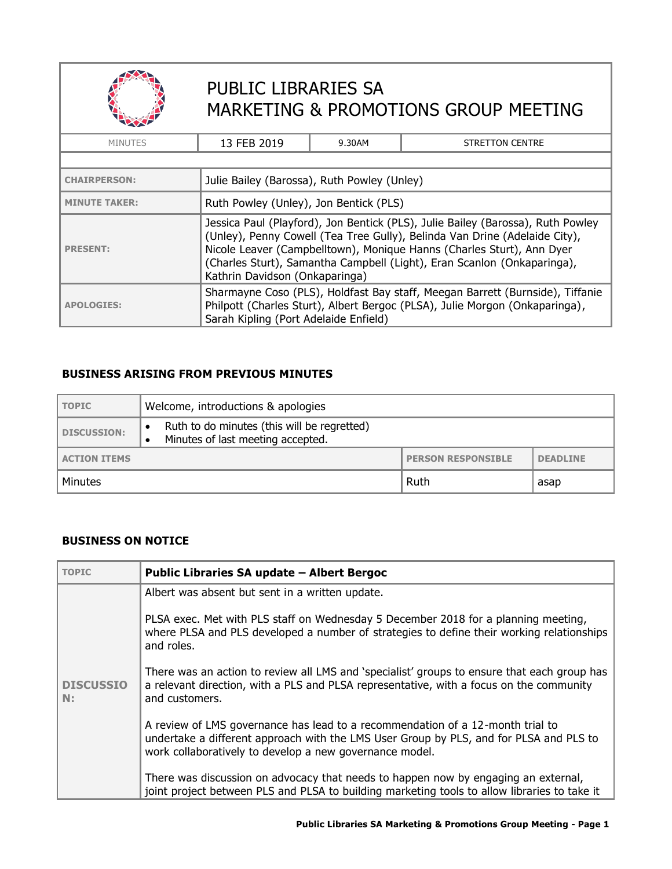

## PUBLIC LIBRARIES SA MARKETING & PROMOTIONS GROUP MEETING

| <b>MINUTES</b>                                                                                                                                                                                                             | 13 FEB 2019                                                                                                                                                                                                                                                                                                                                         | 9.30AM | <b>STRETTON CENTRE</b> |
|----------------------------------------------------------------------------------------------------------------------------------------------------------------------------------------------------------------------------|-----------------------------------------------------------------------------------------------------------------------------------------------------------------------------------------------------------------------------------------------------------------------------------------------------------------------------------------------------|--------|------------------------|
|                                                                                                                                                                                                                            |                                                                                                                                                                                                                                                                                                                                                     |        |                        |
| <b>CHAIRPERSON:</b>                                                                                                                                                                                                        | Julie Bailey (Barossa), Ruth Powley (Unley)                                                                                                                                                                                                                                                                                                         |        |                        |
| <b>MINUTE TAKER:</b>                                                                                                                                                                                                       | Ruth Powley (Unley), Jon Bentick (PLS)                                                                                                                                                                                                                                                                                                              |        |                        |
| <b>PRESENT:</b>                                                                                                                                                                                                            | Jessica Paul (Playford), Jon Bentick (PLS), Julie Bailey (Barossa), Ruth Powley<br>(Unley), Penny Cowell (Tea Tree Gully), Belinda Van Drine (Adelaide City),<br>Nicole Leaver (Campbelltown), Monique Hanns (Charles Sturt), Ann Dyer<br>(Charles Sturt), Samantha Campbell (Light), Eran Scanlon (Onkaparinga),<br>Kathrin Davidson (Onkaparinga) |        |                        |
| Sharmayne Coso (PLS), Holdfast Bay staff, Meegan Barrett (Burnside), Tiffanie<br>Philpott (Charles Sturt), Albert Bergoc (PLSA), Julie Morgon (Onkaparinga),<br><b>APOLOGIES:</b><br>Sarah Kipling (Port Adelaide Enfield) |                                                                                                                                                                                                                                                                                                                                                     |        |                        |

## **BUSINESS ARISING FROM PREVIOUS MINUTES**

| TOPIC               | Welcome, introductions & apologies                                               |                           |                 |
|---------------------|----------------------------------------------------------------------------------|---------------------------|-----------------|
| DISCUSSION:         | Ruth to do minutes (this will be regretted)<br>Minutes of last meeting accepted. |                           |                 |
| <b>ACTION ITEMS</b> |                                                                                  | <b>PERSON RESPONSIBLE</b> | <b>DEADLINE</b> |
| Minutes             |                                                                                  | Ruth                      | asap            |

## **BUSINESS ON NOTICE**

| <b>TOPIC</b>           | Public Libraries SA update - Albert Bergoc                                                                                                                                                                                          |
|------------------------|-------------------------------------------------------------------------------------------------------------------------------------------------------------------------------------------------------------------------------------|
|                        | Albert was absent but sent in a written update.                                                                                                                                                                                     |
|                        | PLSA exec. Met with PLS staff on Wednesday 5 December 2018 for a planning meeting,<br>where PLSA and PLS developed a number of strategies to define their working relationships<br>and roles.                                       |
| <b>DISCUSSIO</b><br>N: | There was an action to review all LMS and 'specialist' groups to ensure that each group has<br>a relevant direction, with a PLS and PLSA representative, with a focus on the community<br>and customers.                            |
|                        | A review of LMS governance has lead to a recommendation of a 12-month trial to<br>undertake a different approach with the LMS User Group by PLS, and for PLSA and PLS to<br>work collaboratively to develop a new governance model. |
|                        | There was discussion on advocacy that needs to happen now by engaging an external,<br>joint project between PLS and PLSA to building marketing tools to allow libraries to take it                                                  |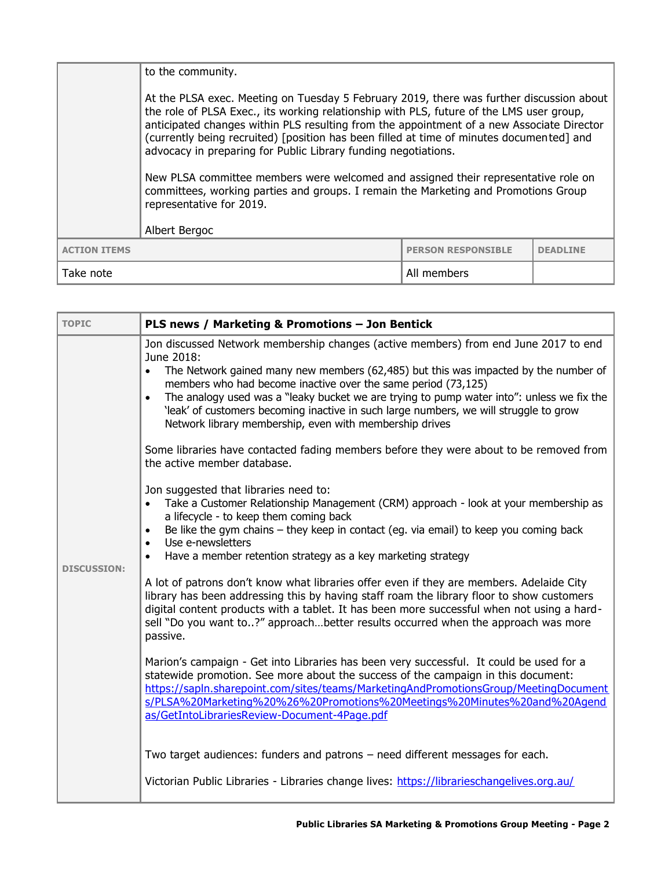|                     | to the community.                                                                                                                                                                                                                                                                                                                                                                                                                                                                                                                                                                                                                                                         |                           |                 |
|---------------------|---------------------------------------------------------------------------------------------------------------------------------------------------------------------------------------------------------------------------------------------------------------------------------------------------------------------------------------------------------------------------------------------------------------------------------------------------------------------------------------------------------------------------------------------------------------------------------------------------------------------------------------------------------------------------|---------------------------|-----------------|
|                     | At the PLSA exec. Meeting on Tuesday 5 February 2019, there was further discussion about<br>the role of PLSA Exec., its working relationship with PLS, future of the LMS user group,<br>anticipated changes within PLS resulting from the appointment of a new Associate Director<br>(currently being recruited) [position has been filled at time of minutes documented] and<br>advocacy in preparing for Public Library funding negotiations.<br>New PLSA committee members were welcomed and assigned their representative role on<br>committees, working parties and groups. I remain the Marketing and Promotions Group<br>representative for 2019.<br>Albert Bergoc |                           |                 |
| <b>ACTION ITEMS</b> |                                                                                                                                                                                                                                                                                                                                                                                                                                                                                                                                                                                                                                                                           | <b>PERSON RESPONSIBLE</b> | <b>DEADLINE</b> |
| Take note           |                                                                                                                                                                                                                                                                                                                                                                                                                                                                                                                                                                                                                                                                           | All members               |                 |

| <b>TOPIC</b>       | PLS news / Marketing & Promotions - Jon Bentick                                                                                                                                                                                                                                                                                                                                                                                                                                                                                      |
|--------------------|--------------------------------------------------------------------------------------------------------------------------------------------------------------------------------------------------------------------------------------------------------------------------------------------------------------------------------------------------------------------------------------------------------------------------------------------------------------------------------------------------------------------------------------|
|                    | Jon discussed Network membership changes (active members) from end June 2017 to end<br>June 2018:<br>The Network gained many new members (62,485) but this was impacted by the number of<br>$\bullet$<br>members who had become inactive over the same period (73,125)<br>The analogy used was a "leaky bucket we are trying to pump water into": unless we fix the<br>$\bullet$<br>'leak' of customers becoming inactive in such large numbers, we will struggle to grow<br>Network library membership, even with membership drives |
|                    | Some libraries have contacted fading members before they were about to be removed from<br>the active member database.                                                                                                                                                                                                                                                                                                                                                                                                                |
|                    | Jon suggested that libraries need to:<br>Take a Customer Relationship Management (CRM) approach - look at your membership as<br>a lifecycle - to keep them coming back<br>Be like the gym chains - they keep in contact (eg. via email) to keep you coming back<br>$\bullet$<br>Use e-newsletters<br>$\bullet$                                                                                                                                                                                                                       |
| <b>DISCUSSION:</b> | Have a member retention strategy as a key marketing strategy                                                                                                                                                                                                                                                                                                                                                                                                                                                                         |
|                    | A lot of patrons don't know what libraries offer even if they are members. Adelaide City<br>library has been addressing this by having staff roam the library floor to show customers<br>digital content products with a tablet. It has been more successful when not using a hard-<br>sell "Do you want to?" approachbetter results occurred when the approach was more<br>passive.                                                                                                                                                 |
|                    | Marion's campaign - Get into Libraries has been very successful. It could be used for a<br>statewide promotion. See more about the success of the campaign in this document:<br>https://sapln.sharepoint.com/sites/teams/MarketingAndPromotionsGroup/MeetingDocument<br>s/PLSA%20Marketing%20%26%20Promotions%20Meetings%20Minutes%20and%20Agend<br>as/GetIntoLibrariesReview-Document-4Page.pdf                                                                                                                                     |
|                    | Two target audiences: funders and patrons - need different messages for each.                                                                                                                                                                                                                                                                                                                                                                                                                                                        |
|                    | Victorian Public Libraries - Libraries change lives: https://librarieschangelives.org.au/                                                                                                                                                                                                                                                                                                                                                                                                                                            |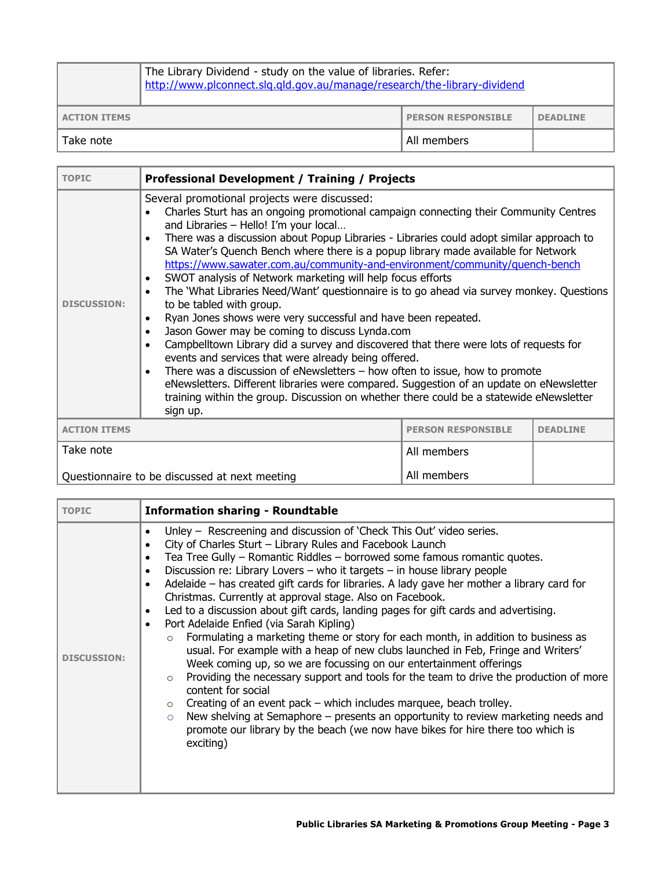|                     | The Library Dividend - study on the value of libraries. Refer:<br>http://www.plconnect.slg.gld.gov.au/manage/research/the-library-dividend |                           |                 |
|---------------------|--------------------------------------------------------------------------------------------------------------------------------------------|---------------------------|-----------------|
| <b>ACTION ITEMS</b> |                                                                                                                                            | <b>PERSON RESPONSIBLE</b> | <b>DEADLINE</b> |
| Take note           |                                                                                                                                            | All members               |                 |

| <b>TOPIC</b>                                     | <b>Professional Development / Training / Projects</b>                                                                                                                                                                                                                                                                                                                                                                                                                                                                                                                                                                                                                                                                                                                                                                                                                                                                                                                                                                                                                                                                                                                                                                                                                                 |                 |  |
|--------------------------------------------------|---------------------------------------------------------------------------------------------------------------------------------------------------------------------------------------------------------------------------------------------------------------------------------------------------------------------------------------------------------------------------------------------------------------------------------------------------------------------------------------------------------------------------------------------------------------------------------------------------------------------------------------------------------------------------------------------------------------------------------------------------------------------------------------------------------------------------------------------------------------------------------------------------------------------------------------------------------------------------------------------------------------------------------------------------------------------------------------------------------------------------------------------------------------------------------------------------------------------------------------------------------------------------------------|-----------------|--|
| <b>DISCUSSION:</b>                               | Several promotional projects were discussed:<br>Charles Sturt has an ongoing promotional campaign connecting their Community Centres<br>and Libraries - Hello! I'm your local<br>There was a discussion about Popup Libraries - Libraries could adopt similar approach to<br>$\bullet$<br>SA Water's Quench Bench where there is a popup library made available for Network<br>https://www.sawater.com.au/community-and-environment/community/guench-bench<br>SWOT analysis of Network marketing will help focus efforts<br>$\bullet$<br>The 'What Libraries Need/Want' questionnaire is to go ahead via survey monkey. Questions<br>$\bullet$<br>to be tabled with group.<br>Ryan Jones shows were very successful and have been repeated.<br>$\bullet$<br>Jason Gower may be coming to discuss Lynda.com<br>$\bullet$<br>Campbelltown Library did a survey and discovered that there were lots of requests for<br>$\bullet$<br>events and services that were already being offered.<br>There was a discussion of eNewsletters $-$ how often to issue, how to promote<br>$\bullet$<br>eNewsletters. Different libraries were compared. Suggestion of an update on eNewsletter<br>training within the group. Discussion on whether there could be a statewide eNewsletter<br>sign up. |                 |  |
| <b>PERSON RESPONSIBLE</b><br><b>ACTION ITEMS</b> |                                                                                                                                                                                                                                                                                                                                                                                                                                                                                                                                                                                                                                                                                                                                                                                                                                                                                                                                                                                                                                                                                                                                                                                                                                                                                       | <b>DEADLINE</b> |  |
| Take note                                        |                                                                                                                                                                                                                                                                                                                                                                                                                                                                                                                                                                                                                                                                                                                                                                                                                                                                                                                                                                                                                                                                                                                                                                                                                                                                                       | All members     |  |
|                                                  | Questionnaire to be discussed at next meeting                                                                                                                                                                                                                                                                                                                                                                                                                                                                                                                                                                                                                                                                                                                                                                                                                                                                                                                                                                                                                                                                                                                                                                                                                                         | All members     |  |

| <b>TOPIC</b>       | <b>Information sharing - Roundtable</b>                                                                                                                                                                                                                                                                                                                                                                                                                                                                                                                                                                                                                                                                                                                                                                                                                                                                                                                                                                                                                                                                                                                                                                                                                              |
|--------------------|----------------------------------------------------------------------------------------------------------------------------------------------------------------------------------------------------------------------------------------------------------------------------------------------------------------------------------------------------------------------------------------------------------------------------------------------------------------------------------------------------------------------------------------------------------------------------------------------------------------------------------------------------------------------------------------------------------------------------------------------------------------------------------------------------------------------------------------------------------------------------------------------------------------------------------------------------------------------------------------------------------------------------------------------------------------------------------------------------------------------------------------------------------------------------------------------------------------------------------------------------------------------|
| <b>DISCUSSION:</b> | Unley – Rescreening and discussion of 'Check This Out' video series.<br>City of Charles Sturt - Library Rules and Facebook Launch<br>Tea Tree Gully - Romantic Riddles - borrowed some famous romantic quotes.<br>$\bullet$<br>Discussion re: Library Lovers - who it targets $-$ in house library people<br>Adelaide – has created gift cards for libraries. A lady gave her mother a library card for<br>Christmas. Currently at approval stage. Also on Facebook.<br>Led to a discussion about gift cards, landing pages for gift cards and advertising.<br>$\bullet$<br>Port Adelaide Enfied (via Sarah Kipling)<br>Formulating a marketing theme or story for each month, in addition to business as<br>usual. For example with a heap of new clubs launched in Feb, Fringe and Writers'<br>Week coming up, so we are focussing on our entertainment offerings<br>Providing the necessary support and tools for the team to drive the production of more<br>content for social<br>Creating of an event pack – which includes marquee, beach trolley.<br>$\circ$<br>New shelving at Semaphore - presents an opportunity to review marketing needs and<br>$\circ$<br>promote our library by the beach (we now have bikes for hire there too which is<br>exciting) |